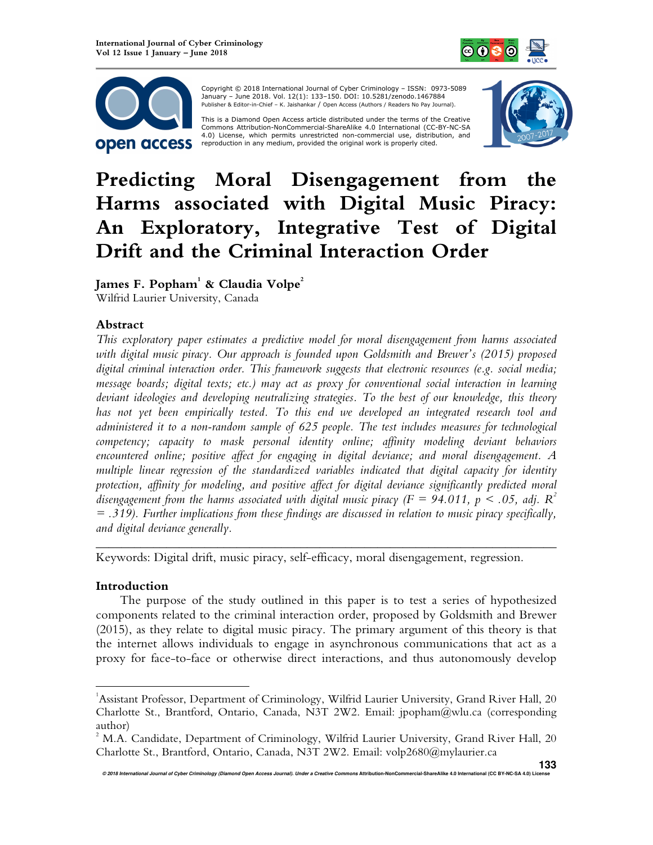



 Copyright © 2018 International Journal of Cyber Criminology – ISSN: 0973-5089 January – June 2018. Vol. 12(1): 133–150. DOI: 10.5281/zenodo.1467884 Publisher & Editor-in-Chief – K. Jaishankar / Open Access (Authors / Readers No Pay Journal).

This is a Diamond Open Access article distributed under the terms of the Creative<br>Commons Attribution-NonCommercial-ShareAlike 4.0 International (CC-BY-NC-SA 4.0) License, which permits unrestricted non-commercial use, distribution, and reproduction in any medium, provided the original work is properly cited.



# **Predicting Moral Disengagement from the Harms associated with Digital Music Piracy: An Exploratory, Integrative Test of Digital Drift and the Criminal Interaction Order**

**James F. Popham<sup>1</sup> & Claudia Volpe<sup>2</sup>**

Wilfrid Laurier University, Canada

# **Abstract**

*This exploratory paper estimates a predictive model for moral disengagement from harms associated with digital music piracy. Our approach is founded upon Goldsmith and Brewer's (2015) proposed digital criminal interaction order. This framework suggests that electronic resources (e.g. social media; message boards; digital texts; etc.) may act as proxy for conventional social interaction in learning deviant ideologies and developing neutralizing strategies. To the best of our knowledge, this theory has not yet been empirically tested. To this end we developed an integrated research tool and administered it to a non-random sample of 625 people. The test includes measures for technological competency; capacity to mask personal identity online; affinity modeling deviant behaviors encountered online; positive affect for engaging in digital deviance; and moral disengagement. A multiple linear regression of the standardized variables indicated that digital capacity for identity protection, affinity for modeling, and positive affect for digital deviance significantly predicted moral disengagement from the harms associated with digital music piracy (F = 94.011, p < .05, adj.*  $R^2$ *= .319). Further implications from these findings are discussed in relation to music piracy specifically, and digital deviance generally.* 

Keywords: Digital drift, music piracy, self-efficacy, moral disengagement, regression.

# **Introduction**

l.

The purpose of the study outlined in this paper is to test a series of hypothesized components related to the criminal interaction order, proposed by Goldsmith and Brewer (2015), as they relate to digital music piracy. The primary argument of this theory is that the internet allows individuals to engage in asynchronous communications that act as a proxy for face-to-face or otherwise direct interactions, and thus autonomously develop

*\_\_\_\_\_\_\_\_\_\_\_\_\_\_\_\_\_\_\_\_\_\_\_\_\_\_\_\_\_\_\_\_\_\_\_\_\_\_\_\_\_\_\_\_\_\_\_\_\_\_\_\_\_\_\_\_\_\_\_\_*\_\_\_\_\_\_\_\_\_\_\_\_

<sup>1</sup>Assistant Professor, Department of Criminology, Wilfrid Laurier University, Grand River Hall, 20 Charlotte St., Brantford, Ontario, Canada, N3T 2W2. Email: jpopham@wlu.ca (corresponding author)

 $^2$  M.A. Candidate, Department of Criminology, Wilfrid Laurier University, Grand River Hall, 20 Charlotte St., Brantford, Ontario, Canada, N3T 2W2. Email: volp2680@mylaurier.ca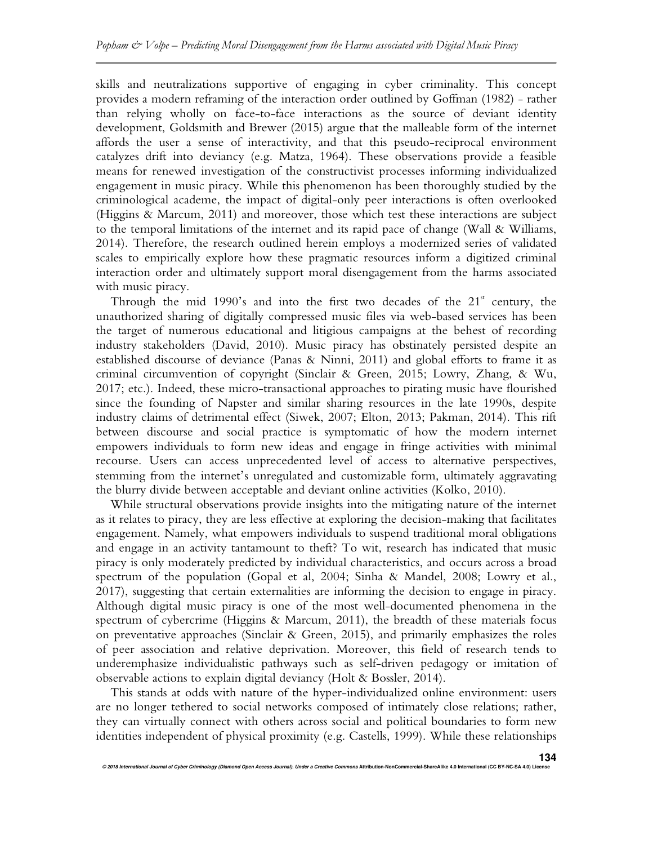skills and neutralizations supportive of engaging in cyber criminality. This concept provides a modern reframing of the interaction order outlined by Goffman (1982) - rather than relying wholly on face-to-face interactions as the source of deviant identity development, Goldsmith and Brewer (2015) argue that the malleable form of the internet affords the user a sense of interactivity, and that this pseudo-reciprocal environment catalyzes drift into deviancy (e.g. Matza, 1964). These observations provide a feasible means for renewed investigation of the constructivist processes informing individualized engagement in music piracy. While this phenomenon has been thoroughly studied by the criminological academe, the impact of digital-only peer interactions is often overlooked (Higgins & Marcum, 2011) and moreover, those which test these interactions are subject to the temporal limitations of the internet and its rapid pace of change (Wall & Williams, 2014). Therefore, the research outlined herein employs a modernized series of validated scales to empirically explore how these pragmatic resources inform a digitized criminal interaction order and ultimately support moral disengagement from the harms associated with music piracy.

Through the mid 1990's and into the first two decades of the  $21<sup>*</sup>$  century, the unauthorized sharing of digitally compressed music files via web-based services has been the target of numerous educational and litigious campaigns at the behest of recording industry stakeholders (David, 2010). Music piracy has obstinately persisted despite an established discourse of deviance (Panas & Ninni, 2011) and global efforts to frame it as criminal circumvention of copyright (Sinclair & Green, 2015; Lowry, Zhang, & Wu, 2017; etc.). Indeed, these micro-transactional approaches to pirating music have flourished since the founding of Napster and similar sharing resources in the late 1990s, despite industry claims of detrimental effect (Siwek, 2007; Elton, 2013; Pakman, 2014). This rift between discourse and social practice is symptomatic of how the modern internet empowers individuals to form new ideas and engage in fringe activities with minimal recourse. Users can access unprecedented level of access to alternative perspectives, stemming from the internet's unregulated and customizable form, ultimately aggravating the blurry divide between acceptable and deviant online activities (Kolko, 2010).

While structural observations provide insights into the mitigating nature of the internet as it relates to piracy, they are less effective at exploring the decision-making that facilitates engagement. Namely, what empowers individuals to suspend traditional moral obligations and engage in an activity tantamount to theft? To wit, research has indicated that music piracy is only moderately predicted by individual characteristics, and occurs across a broad spectrum of the population (Gopal et al, 2004; Sinha & Mandel, 2008; Lowry et al., 2017), suggesting that certain externalities are informing the decision to engage in piracy. Although digital music piracy is one of the most well-documented phenomena in the spectrum of cybercrime (Higgins & Marcum, 2011), the breadth of these materials focus on preventative approaches (Sinclair & Green, 2015), and primarily emphasizes the roles of peer association and relative deprivation. Moreover, this field of research tends to underemphasize individualistic pathways such as self-driven pedagogy or imitation of observable actions to explain digital deviancy (Holt & Bossler, 2014).

This stands at odds with nature of the hyper-individualized online environment: users are no longer tethered to social networks composed of intimately close relations; rather, they can virtually connect with others across social and political boundaries to form new identities independent of physical proximity (e.g. Castells, 1999). While these relationships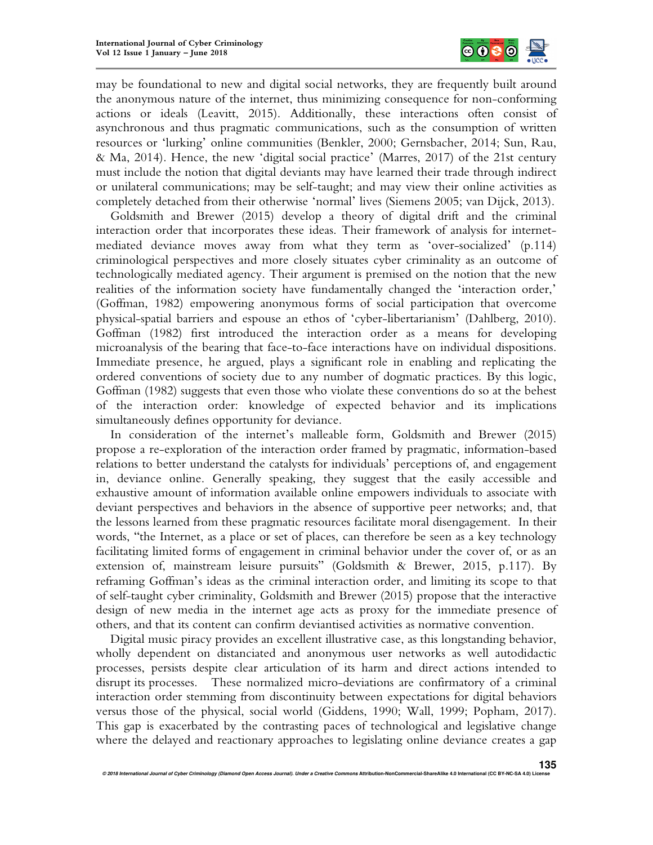

may be foundational to new and digital social networks, they are frequently built around the anonymous nature of the internet, thus minimizing consequence for non-conforming actions or ideals (Leavitt, 2015). Additionally, these interactions often consist of asynchronous and thus pragmatic communications, such as the consumption of written resources or 'lurking' online communities (Benkler, 2000; Gernsbacher, 2014; Sun, Rau, & Ma, 2014). Hence, the new 'digital social practice' (Marres, 2017) of the 21st century must include the notion that digital deviants may have learned their trade through indirect or unilateral communications; may be self-taught; and may view their online activities as completely detached from their otherwise 'normal' lives (Siemens 2005; van Dijck, 2013).

Goldsmith and Brewer (2015) develop a theory of digital drift and the criminal interaction order that incorporates these ideas. Their framework of analysis for internetmediated deviance moves away from what they term as 'over-socialized' (p.114) criminological perspectives and more closely situates cyber criminality as an outcome of technologically mediated agency. Their argument is premised on the notion that the new realities of the information society have fundamentally changed the 'interaction order,' (Goffman, 1982) empowering anonymous forms of social participation that overcome physical-spatial barriers and espouse an ethos of 'cyber-libertarianism' (Dahlberg, 2010). Goffman (1982) first introduced the interaction order as a means for developing microanalysis of the bearing that face-to-face interactions have on individual dispositions. Immediate presence, he argued, plays a significant role in enabling and replicating the ordered conventions of society due to any number of dogmatic practices. By this logic, Goffman (1982) suggests that even those who violate these conventions do so at the behest of the interaction order: knowledge of expected behavior and its implications simultaneously defines opportunity for deviance.

In consideration of the internet's malleable form, Goldsmith and Brewer (2015) propose a re-exploration of the interaction order framed by pragmatic, information-based relations to better understand the catalysts for individuals' perceptions of, and engagement in, deviance online. Generally speaking, they suggest that the easily accessible and exhaustive amount of information available online empowers individuals to associate with deviant perspectives and behaviors in the absence of supportive peer networks; and, that the lessons learned from these pragmatic resources facilitate moral disengagement. In their words, "the Internet, as a place or set of places, can therefore be seen as a key technology facilitating limited forms of engagement in criminal behavior under the cover of, or as an extension of, mainstream leisure pursuits" (Goldsmith & Brewer, 2015, p.117). By reframing Goffman's ideas as the criminal interaction order, and limiting its scope to that of self-taught cyber criminality, Goldsmith and Brewer (2015) propose that the interactive design of new media in the internet age acts as proxy for the immediate presence of others, and that its content can confirm deviantised activities as normative convention.

Digital music piracy provides an excellent illustrative case, as this longstanding behavior, wholly dependent on distanciated and anonymous user networks as well autodidactic processes, persists despite clear articulation of its harm and direct actions intended to disrupt its processes. These normalized micro-deviations are confirmatory of a criminal interaction order stemming from discontinuity between expectations for digital behaviors versus those of the physical, social world (Giddens, 1990; Wall, 1999; Popham, 2017). This gap is exacerbated by the contrasting paces of technological and legislative change where the delayed and reactionary approaches to legislating online deviance creates a gap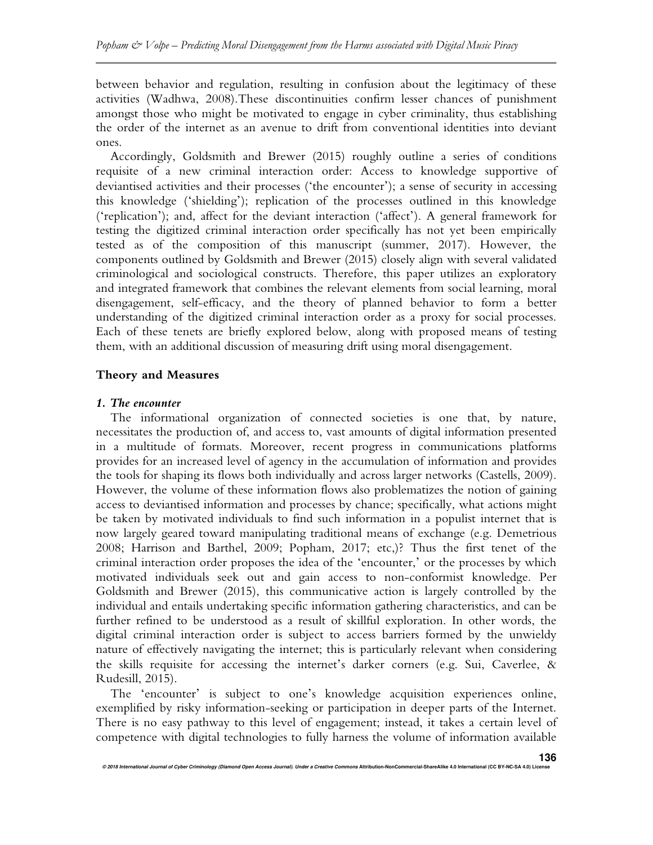between behavior and regulation, resulting in confusion about the legitimacy of these activities (Wadhwa, 2008).These discontinuities confirm lesser chances of punishment amongst those who might be motivated to engage in cyber criminality, thus establishing the order of the internet as an avenue to drift from conventional identities into deviant ones.

Accordingly, Goldsmith and Brewer (2015) roughly outline a series of conditions requisite of a new criminal interaction order: Access to knowledge supportive of deviantised activities and their processes ('the encounter'); a sense of security in accessing this knowledge ('shielding'); replication of the processes outlined in this knowledge ('replication'); and, affect for the deviant interaction ('affect'). A general framework for testing the digitized criminal interaction order specifically has not yet been empirically tested as of the composition of this manuscript (summer, 2017). However, the components outlined by Goldsmith and Brewer (2015) closely align with several validated criminological and sociological constructs. Therefore, this paper utilizes an exploratory and integrated framework that combines the relevant elements from social learning, moral disengagement, self-efficacy, and the theory of planned behavior to form a better understanding of the digitized criminal interaction order as a proxy for social processes. Each of these tenets are briefly explored below, along with proposed means of testing them, with an additional discussion of measuring drift using moral disengagement.

## **Theory and Measures**

## *1. The encounter*

The informational organization of connected societies is one that, by nature, necessitates the production of, and access to, vast amounts of digital information presented in a multitude of formats. Moreover, recent progress in communications platforms provides for an increased level of agency in the accumulation of information and provides the tools for shaping its flows both individually and across larger networks (Castells, 2009). However, the volume of these information flows also problematizes the notion of gaining access to deviantised information and processes by chance; specifically, what actions might be taken by motivated individuals to find such information in a populist internet that is now largely geared toward manipulating traditional means of exchange (e.g. Demetrious 2008; Harrison and Barthel, 2009; Popham, 2017; etc,)? Thus the first tenet of the criminal interaction order proposes the idea of the 'encounter,' or the processes by which motivated individuals seek out and gain access to non-conformist knowledge. Per Goldsmith and Brewer (2015), this communicative action is largely controlled by the individual and entails undertaking specific information gathering characteristics, and can be further refined to be understood as a result of skillful exploration. In other words, the digital criminal interaction order is subject to access barriers formed by the unwieldy nature of effectively navigating the internet; this is particularly relevant when considering the skills requisite for accessing the internet's darker corners (e.g. Sui, Caverlee, & Rudesill, 2015).

The 'encounter' is subject to one's knowledge acquisition experiences online, exemplified by risky information-seeking or participation in deeper parts of the Internet. There is no easy pathway to this level of engagement; instead, it takes a certain level of competence with digital technologies to fully harness the volume of information available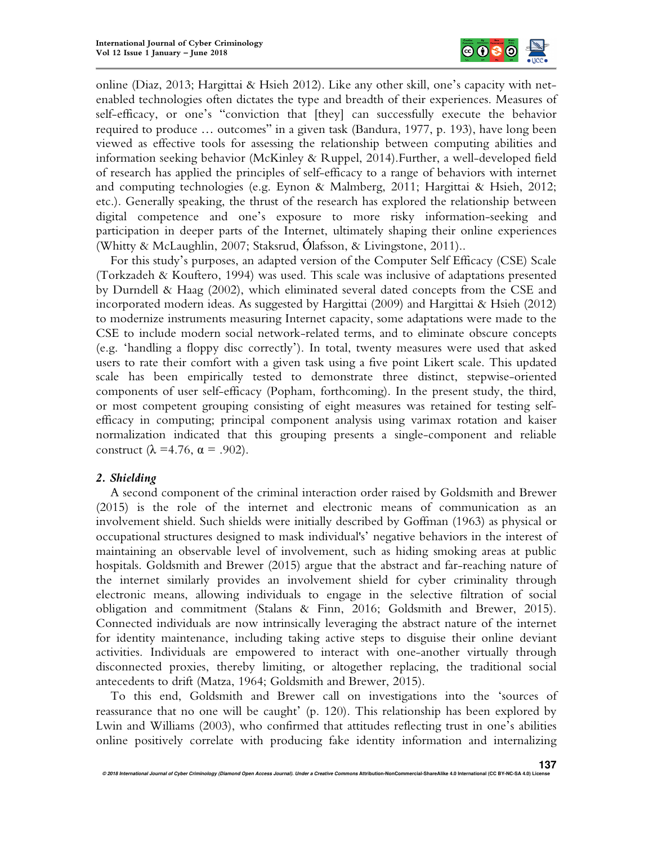

online (Diaz, 2013; Hargittai & Hsieh 2012). Like any other skill, one's capacity with netenabled technologies often dictates the type and breadth of their experiences. Measures of self-efficacy, or one's "conviction that [they] can successfully execute the behavior required to produce … outcomes" in a given task (Bandura, 1977, p. 193), have long been viewed as effective tools for assessing the relationship between computing abilities and information seeking behavior (McKinley & Ruppel, 2014).Further, a well-developed field of research has applied the principles of self-efficacy to a range of behaviors with internet and computing technologies (e.g. Eynon & Malmberg, 2011; Hargittai & Hsieh, 2012; etc.). Generally speaking, the thrust of the research has explored the relationship between digital competence and one's exposure to more risky information-seeking and participation in deeper parts of the Internet, ultimately shaping their online experiences (Whitty & McLaughlin, 2007; Staksrud, Ólafsson, & Livingstone, 2011)..

For this study's purposes, an adapted version of the Computer Self Efficacy (CSE) Scale (Torkzadeh & Kouftero, 1994) was used. This scale was inclusive of adaptations presented by Durndell & Haag (2002), which eliminated several dated concepts from the CSE and incorporated modern ideas. As suggested by Hargittai (2009) and Hargittai & Hsieh (2012) to modernize instruments measuring Internet capacity, some adaptations were made to the CSE to include modern social network-related terms, and to eliminate obscure concepts (e.g. 'handling a floppy disc correctly'). In total, twenty measures were used that asked users to rate their comfort with a given task using a five point Likert scale. This updated scale has been empirically tested to demonstrate three distinct, stepwise-oriented components of user self-efficacy (Popham, forthcoming). In the present study, the third, or most competent grouping consisting of eight measures was retained for testing selfefficacy in computing; principal component analysis using varimax rotation and kaiser normalization indicated that this grouping presents a single-component and reliable construct ( $\lambda$  =4.76,  $\alpha$  = .902).

# *2. Shielding*

A second component of the criminal interaction order raised by Goldsmith and Brewer (2015) is the role of the internet and electronic means of communication as an involvement shield. Such shields were initially described by Goffman (1963) as physical or occupational structures designed to mask individual's' negative behaviors in the interest of maintaining an observable level of involvement, such as hiding smoking areas at public hospitals. Goldsmith and Brewer (2015) argue that the abstract and far-reaching nature of the internet similarly provides an involvement shield for cyber criminality through electronic means, allowing individuals to engage in the selective filtration of social obligation and commitment (Stalans & Finn, 2016; Goldsmith and Brewer, 2015). Connected individuals are now intrinsically leveraging the abstract nature of the internet for identity maintenance, including taking active steps to disguise their online deviant activities. Individuals are empowered to interact with one-another virtually through disconnected proxies, thereby limiting, or altogether replacing, the traditional social antecedents to drift (Matza, 1964; Goldsmith and Brewer, 2015).

To this end, Goldsmith and Brewer call on investigations into the 'sources of reassurance that no one will be caught' (p. 120). This relationship has been explored by Lwin and Williams (2003), who confirmed that attitudes reflecting trust in one's abilities online positively correlate with producing fake identity information and internalizing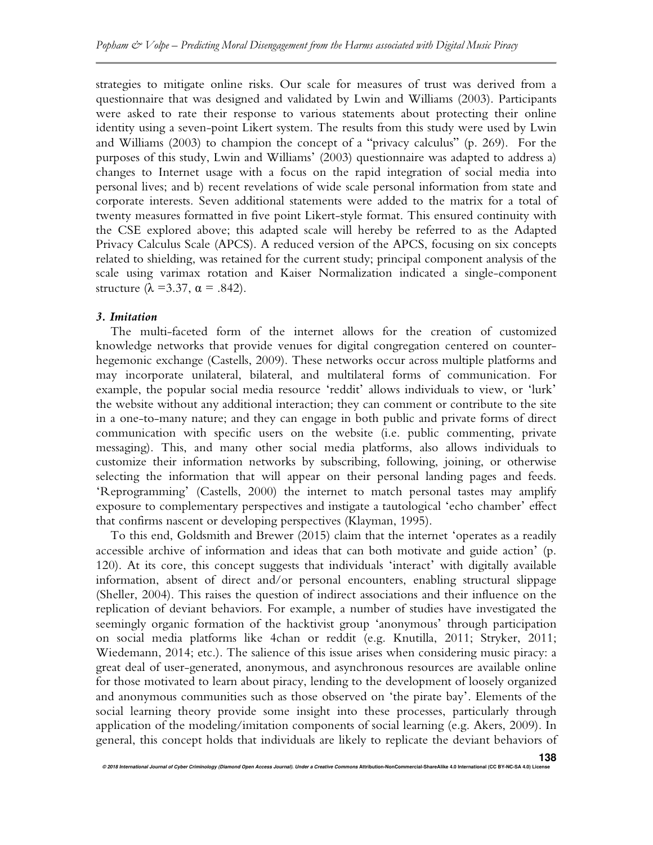strategies to mitigate online risks. Our scale for measures of trust was derived from a questionnaire that was designed and validated by Lwin and Williams (2003). Participants were asked to rate their response to various statements about protecting their online identity using a seven-point Likert system. The results from this study were used by Lwin and Williams (2003) to champion the concept of a "privacy calculus" (p. 269). For the purposes of this study, Lwin and Williams' (2003) questionnaire was adapted to address a) changes to Internet usage with a focus on the rapid integration of social media into personal lives; and b) recent revelations of wide scale personal information from state and corporate interests. Seven additional statements were added to the matrix for a total of twenty measures formatted in five point Likert-style format. This ensured continuity with the CSE explored above; this adapted scale will hereby be referred to as the Adapted Privacy Calculus Scale (APCS). A reduced version of the APCS, focusing on six concepts related to shielding, was retained for the current study; principal component analysis of the scale using varimax rotation and Kaiser Normalization indicated a single-component structure  $(\lambda = 3.37, \alpha = .842)$ .

# *3. Imitation*

The multi-faceted form of the internet allows for the creation of customized knowledge networks that provide venues for digital congregation centered on counterhegemonic exchange (Castells, 2009). These networks occur across multiple platforms and may incorporate unilateral, bilateral, and multilateral forms of communication. For example, the popular social media resource 'reddit' allows individuals to view, or 'lurk' the website without any additional interaction; they can comment or contribute to the site in a one-to-many nature; and they can engage in both public and private forms of direct communication with specific users on the website (i.e. public commenting, private messaging). This, and many other social media platforms, also allows individuals to customize their information networks by subscribing, following, joining, or otherwise selecting the information that will appear on their personal landing pages and feeds. 'Reprogramming' (Castells, 2000) the internet to match personal tastes may amplify exposure to complementary perspectives and instigate a tautological 'echo chamber' effect that confirms nascent or developing perspectives (Klayman, 1995).

To this end, Goldsmith and Brewer (2015) claim that the internet 'operates as a readily accessible archive of information and ideas that can both motivate and guide action' (p. 120). At its core, this concept suggests that individuals 'interact' with digitally available information, absent of direct and/or personal encounters, enabling structural slippage (Sheller, 2004). This raises the question of indirect associations and their influence on the replication of deviant behaviors. For example, a number of studies have investigated the seemingly organic formation of the hacktivist group 'anonymous' through participation on social media platforms like 4chan or reddit (e.g. Knutilla, 2011; Stryker, 2011; Wiedemann, 2014; etc.). The salience of this issue arises when considering music piracy: a great deal of user-generated, anonymous, and asynchronous resources are available online for those motivated to learn about piracy, lending to the development of loosely organized and anonymous communities such as those observed on 'the pirate bay'. Elements of the social learning theory provide some insight into these processes, particularly through application of the modeling/imitation components of social learning (e.g. Akers, 2009). In general, this concept holds that individuals are likely to replicate the deviant behaviors of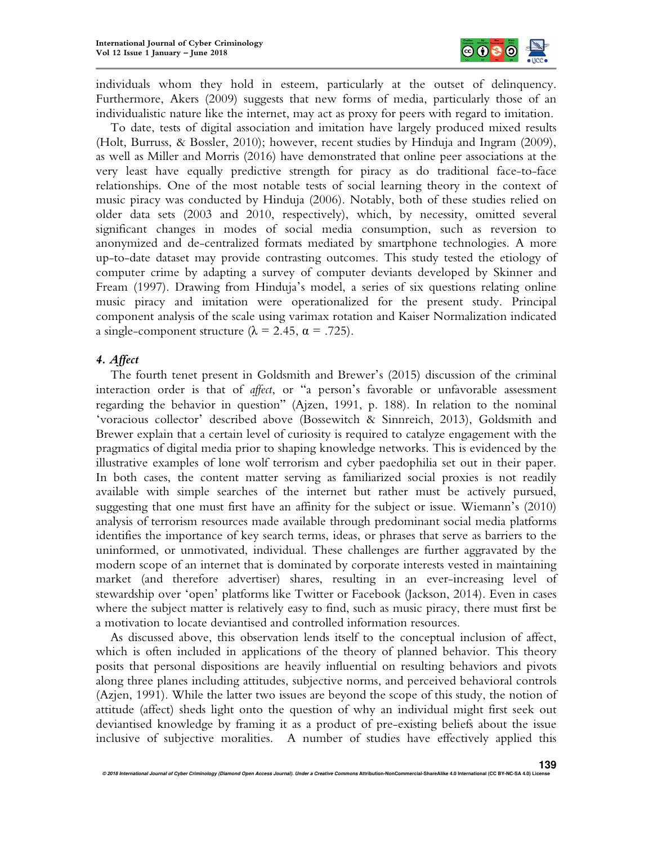

individuals whom they hold in esteem, particularly at the outset of delinquency. Furthermore, Akers (2009) suggests that new forms of media, particularly those of an individualistic nature like the internet, may act as proxy for peers with regard to imitation.

To date, tests of digital association and imitation have largely produced mixed results (Holt, Burruss, & Bossler, 2010); however, recent studies by Hinduja and Ingram (2009), as well as Miller and Morris (2016) have demonstrated that online peer associations at the very least have equally predictive strength for piracy as do traditional face-to-face relationships. One of the most notable tests of social learning theory in the context of music piracy was conducted by Hinduja (2006). Notably, both of these studies relied on older data sets (2003 and 2010, respectively), which, by necessity, omitted several significant changes in modes of social media consumption, such as reversion to anonymized and de-centralized formats mediated by smartphone technologies. A more up-to-date dataset may provide contrasting outcomes. This study tested the etiology of computer crime by adapting a survey of computer deviants developed by Skinner and Fream (1997). Drawing from Hinduja's model, a series of six questions relating online music piracy and imitation were operationalized for the present study. Principal component analysis of the scale using varimax rotation and Kaiser Normalization indicated a single-component structure ( $\lambda = 2.45$ ,  $\alpha = .725$ ).

## *4. Affect*

The fourth tenet present in Goldsmith and Brewer's (2015) discussion of the criminal interaction order is that of *affect*, or "a person's favorable or unfavorable assessment regarding the behavior in question" (Ajzen, 1991, p. 188). In relation to the nominal 'voracious collector' described above (Bossewitch & Sinnreich, 2013), Goldsmith and Brewer explain that a certain level of curiosity is required to catalyze engagement with the pragmatics of digital media prior to shaping knowledge networks. This is evidenced by the illustrative examples of lone wolf terrorism and cyber paedophilia set out in their paper. In both cases, the content matter serving as familiarized social proxies is not readily available with simple searches of the internet but rather must be actively pursued, suggesting that one must first have an affinity for the subject or issue. Wiemann's (2010) analysis of terrorism resources made available through predominant social media platforms identifies the importance of key search terms, ideas, or phrases that serve as barriers to the uninformed, or unmotivated, individual. These challenges are further aggravated by the modern scope of an internet that is dominated by corporate interests vested in maintaining market (and therefore advertiser) shares, resulting in an ever-increasing level of stewardship over 'open' platforms like Twitter or Facebook (Jackson, 2014). Even in cases where the subject matter is relatively easy to find, such as music piracy, there must first be a motivation to locate deviantised and controlled information resources.

As discussed above, this observation lends itself to the conceptual inclusion of affect, which is often included in applications of the theory of planned behavior. This theory posits that personal dispositions are heavily influential on resulting behaviors and pivots along three planes including attitudes, subjective norms, and perceived behavioral controls (Azjen, 1991). While the latter two issues are beyond the scope of this study, the notion of attitude (affect) sheds light onto the question of why an individual might first seek out deviantised knowledge by framing it as a product of pre-existing beliefs about the issue inclusive of subjective moralities. A number of studies have effectively applied this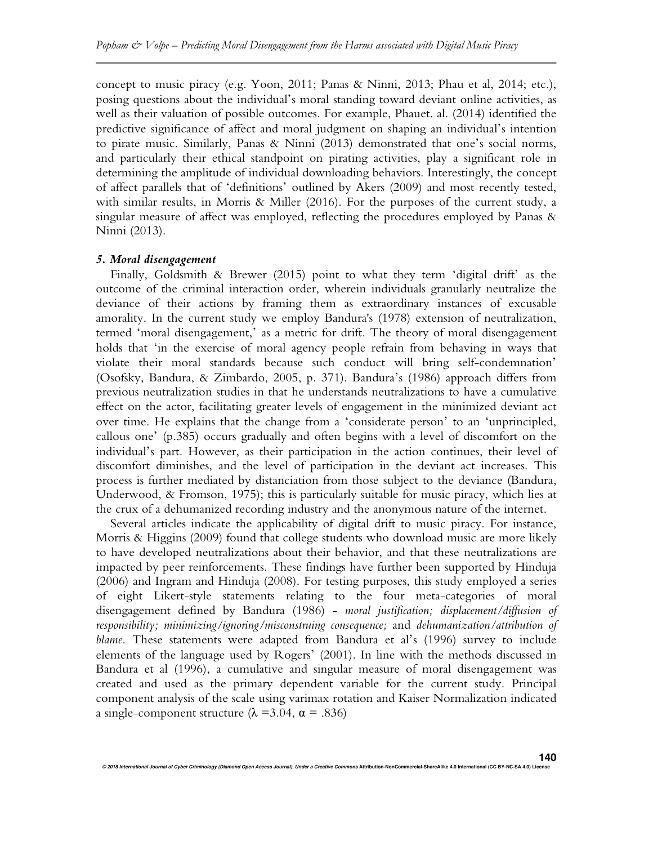concept to music piracy (e.g. Yoon, 2011; Panas & Ninni, 2013; Phau et al, 2014; etc.), posing questions about the individual's moral standing toward deviant online activities, as well as their valuation of possible outcomes. For example, Phauet. al. (2014) identified the predictive significance of affect and moral judgment on shaping an individual's intention to pirate music. Similarly, Panas & Ninni (2013) demonstrated that one's social norms, and particularly their ethical standpoint on pirating activities, play a significant role in determining the amplitude of individual downloading behaviors. Interestingly, the concept of affect parallels that of 'definitions' outlined by Akers (2009) and most recently tested, with similar results, in Morris & Miller (2016). For the purposes of the current study, a singular measure of affect was employed, reflecting the procedures employed by Panas  $\&$ Ninni (2013).

#### *5. Moral disengagement*

Finally, Goldsmith & Brewer (2015) point to what they term 'digital drift' as the outcome of the criminal interaction order, wherein individuals granularly neutralize the deviance of their actions by framing them as extraordinary instances of excusable amorality. In the current study we employ Bandura's (1978) extension of neutralization, termed 'moral disengagement,' as a metric for drift. The theory of moral disengagement holds that 'in the exercise of moral agency people refrain from behaving in ways that violate their moral standards because such conduct will bring self-condemnation' (Osofsky, Bandura, & Zimbardo, 2005, p. 371). Bandura's (1986) approach differs from previous neutralization studies in that he understands neutralizations to have a cumulative effect on the actor, facilitating greater levels of engagement in the minimized deviant act over time. He explains that the change from a 'considerate person' to an 'unprincipled, callous one' (p.385) occurs gradually and often begins with a level of discomfort on the individual's part. However, as their participation in the action continues, their level of discomfort diminishes, and the level of participation in the deviant act increases. This process is further mediated by distanciation from those subject to the deviance (Bandura, Underwood, & Fromson, 1975); this is particularly suitable for music piracy, which lies at the crux of a dehumanized recording industry and the anonymous nature of the internet.

Several articles indicate the applicability of digital drift to music piracy. For instance, Morris & Higgins (2009) found that college students who download music are more likely to have developed neutralizations about their behavior, and that these neutralizations are impacted by peer reinforcements. These findings have further been supported by Hinduja (2006) and Ingram and Hinduja (2008). For testing purposes, this study employed a series of eight Likert-style statements relating to the four meta-categories of moral disengagement defined by Bandura (1986) - *moral justification; displacement/diffusion of responsibility; minimizing/ignoring/misconstruing consequence;* and *dehumanization/attribution of blame*. These statements were adapted from Bandura et al's (1996) survey to include elements of the language used by Rogers' (2001). In line with the methods discussed in Bandura et al (1996), a cumulative and singular measure of moral disengagement was created and used as the primary dependent variable for the current study. Principal component analysis of the scale using varimax rotation and Kaiser Normalization indicated a single-component structure ( $\lambda$  =3.04,  $\alpha$  = .836)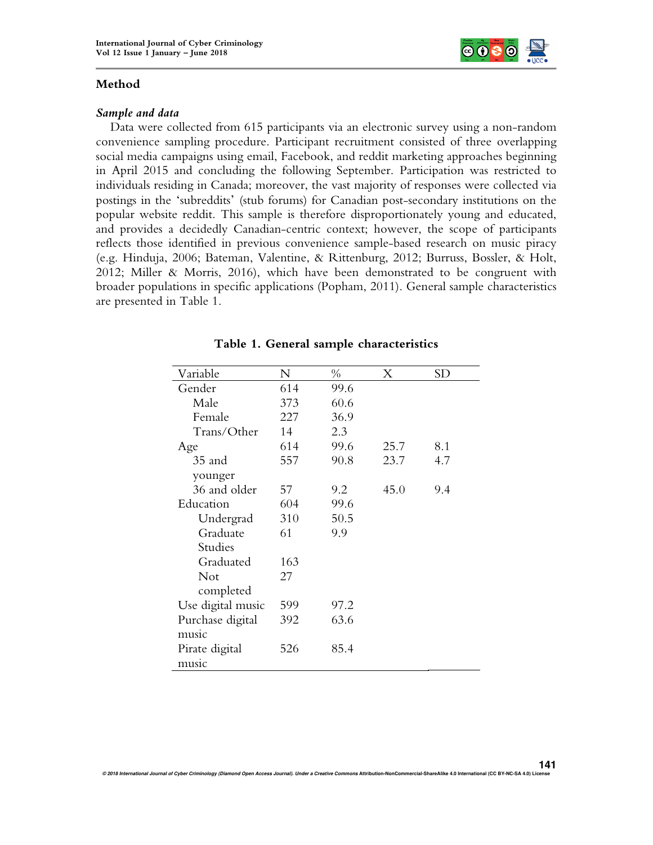

## **Method**

#### *Sample and data*

Data were collected from 615 participants via an electronic survey using a non-random convenience sampling procedure. Participant recruitment consisted of three overlapping social media campaigns using email, Facebook, and reddit marketing approaches beginning in April 2015 and concluding the following September. Participation was restricted to individuals residing in Canada; moreover, the vast majority of responses were collected via postings in the 'subreddits' (stub forums) for Canadian post-secondary institutions on the popular website reddit. This sample is therefore disproportionately young and educated, and provides a decidedly Canadian-centric context; however, the scope of participants reflects those identified in previous convenience sample-based research on music piracy (e.g. Hinduja, 2006; Bateman, Valentine, & Rittenburg, 2012; Burruss, Bossler, & Holt, 2012; Miller & Morris, 2016), which have been demonstrated to be congruent with broader populations in specific applications (Popham, 2011). General sample characteristics are presented in Table 1.

| Variable          | N   | $\frac{0}{0}$ | Χ    | SD  |
|-------------------|-----|---------------|------|-----|
| Gender            | 614 | 99.6          |      |     |
| Male              | 373 | 60.6          |      |     |
| Female            | 227 | 36.9          |      |     |
| Trans/Other       | 14  | 2.3           |      |     |
| Age               | 614 | 99.6          | 25.7 | 8.1 |
| 35 and            | 557 | 90.8          | 23.7 | 4.7 |
| younger           |     |               |      |     |
| 36 and older      | 57  | 9.2           | 45.0 | 9.4 |
| Education         | 604 | 99.6          |      |     |
| Undergrad         | 310 | 50.5          |      |     |
| Graduate          | 61  | 9.9           |      |     |
| Studies           |     |               |      |     |
| Graduated         | 163 |               |      |     |
| Not               | 27  |               |      |     |
| completed         |     |               |      |     |
| Use digital music | 599 | 97.2          |      |     |
| Purchase digital  | 392 | 63.6          |      |     |
| music             |     |               |      |     |
| Pirate digital    | 526 | 85.4          |      |     |
| music             |     |               |      |     |

## **Table 1. General sample characteristics**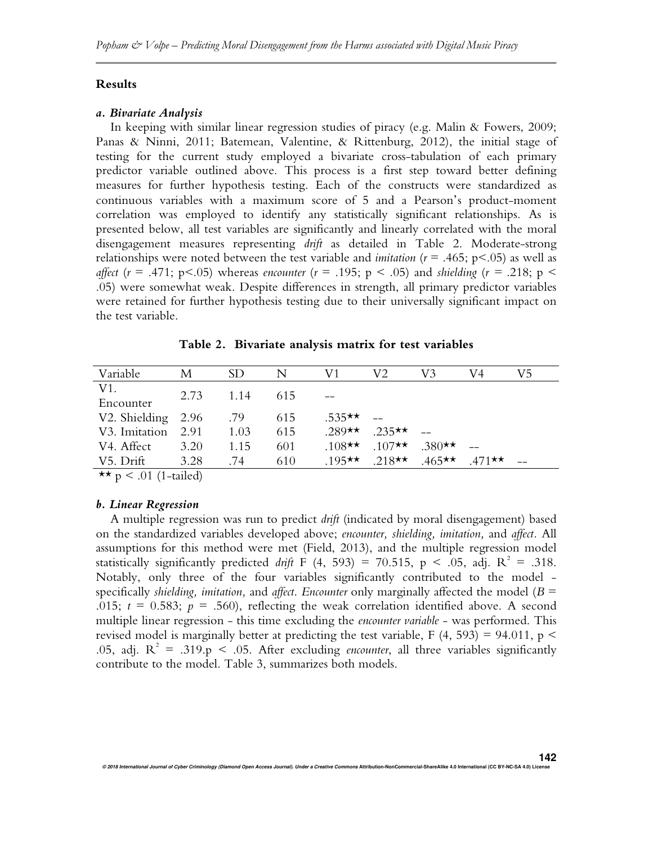## **Results**

#### *a. Bivariate Analysis*

In keeping with similar linear regression studies of piracy (e.g. Malin & Fowers, 2009; Panas & Ninni, 2011; Batemean, Valentine, & Rittenburg, 2012), the initial stage of testing for the current study employed a bivariate cross-tabulation of each primary predictor variable outlined above. This process is a first step toward better defining measures for further hypothesis testing. Each of the constructs were standardized as continuous variables with a maximum score of 5 and a Pearson's product-moment correlation was employed to identify any statistically significant relationships. As is presented below, all test variables are significantly and linearly correlated with the moral disengagement measures representing *drift* as detailed in Table 2. Moderate-strong relationships were noted between the test variable and *imitation*  $(r = .465; p < .05)$  as well as *affect* ( $r = .471$ ; p<.05) whereas *encounter* ( $r = .195$ ; p < .05) and *shielding* ( $r = .218$ ; p < .05) were somewhat weak. Despite differences in strength, all primary predictor variables were retained for further hypothesis testing due to their universally significant impact on the test variable.

| Variable                                                                                                                                       | М         | <b>SD</b> | N   | V1        | V2                 | V3        | V4        | V5 |
|------------------------------------------------------------------------------------------------------------------------------------------------|-----------|-----------|-----|-----------|--------------------|-----------|-----------|----|
| V1.<br>Encounter                                                                                                                               | 2.73      | 1.14      | 615 |           |                    |           |           |    |
| V2. Shielding 2.96                                                                                                                             |           | .79       | 615 | $.535**$  |                    |           |           |    |
| V3. Imitation                                                                                                                                  | 2.91      | 1.03      | 615 | $.289**$  | $.235 \star \star$ |           |           |    |
| V4. Affect                                                                                                                                     | 3.20      | 1.15      | 601 | $.108$ ** | $.107$ **          | $.380**$  |           |    |
| V5. Drift                                                                                                                                      | 3.28      | .74       | 610 | $.195$ ** | .218**             | $.465$ ** | $.471$ ** |    |
| $\mathbf{1}$ $\mathbf{1}$ $\mathbf{1}$ $\mathbf{1}$ $\mathbf{1}$ $\mathbf{1}$ $\mathbf{1}$ $\mathbf{1}$ $\mathbf{1}$ $\mathbf{1}$ $\mathbf{1}$ | $\cdot$ 1 |           |     |           |                    |           |           |    |

|  |  | Table 2. Bivariate analysis matrix for test variables |
|--|--|-------------------------------------------------------|
|  |  |                                                       |

\*\*  $p < .01$  (1-tailed)

# *b. Linear Regression*

A multiple regression was run to predict *drift* (indicated by moral disengagement) based on the standardized variables developed above; *encounter, shielding, imitation,* and *affect.* All assumptions for this method were met (Field, 2013), and the multiple regression model statistically significantly predicted *drift* F (4, 593) = 70.515, p < .05, adj.  $R^2$  = .318. Notably, only three of the four variables significantly contributed to the model specifically *shielding, imitation,* and *affect*. *Encounter* only marginally affected the model (*B* = .015;  $t = 0.583$ ;  $p = .560$ ), reflecting the weak correlation identified above. A second multiple linear regression - this time excluding the *encounter variable* - was performed. This revised model is marginally better at predicting the test variable, F  $(4, 593) = 94.011$ , p < .05, adj.  $R^2 = .319$ .p < .05. After excluding *encounter*, all three variables significantly contribute to the model. Table 3, summarizes both models.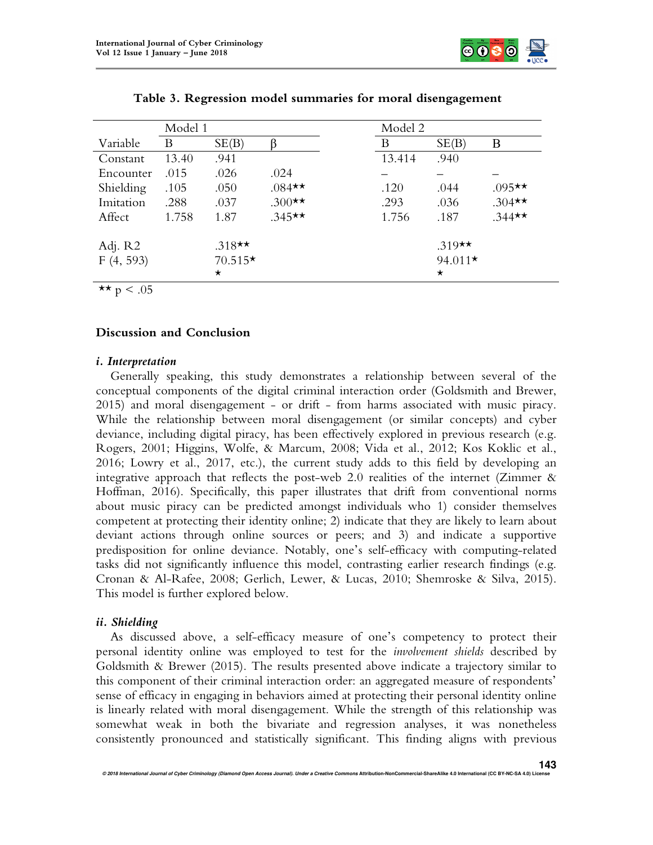

|           | Model 1 |           |          | Model 2 |                    |          |
|-----------|---------|-----------|----------|---------|--------------------|----------|
| Variable  | B       | SE(B)     |          | В       | SE(B)              | B        |
| Constant  | 13.40   | .941      |          | 13.414  | .940               |          |
| Encounter | .015    | .026      | .024     |         |                    |          |
| Shielding | .105    | .050      | $.084**$ | .120    | .044               | $.095**$ |
| Imitation | .288    | .037      | $.300**$ | .293    | .036               | $.304**$ |
| Affect    | 1.758   | 1.87      | $.345**$ | 1.756   | .187               | $.344**$ |
| Adj. R2   |         | $.318**$  |          |         | $.319 \star \star$ |          |
| F(4, 593) |         | $70.515*$ |          |         | 94.011*            |          |
|           |         | $^\star$  |          |         | $\star$            |          |

|  |  |  | Table 3. Regression model summaries for moral disengagement |
|--|--|--|-------------------------------------------------------------|
|  |  |  |                                                             |

\*\* p < .05

# **Discussion and Conclusion**

# *i. Interpretation*

Generally speaking, this study demonstrates a relationship between several of the conceptual components of the digital criminal interaction order (Goldsmith and Brewer, 2015) and moral disengagement - or drift - from harms associated with music piracy. While the relationship between moral disengagement (or similar concepts) and cyber deviance, including digital piracy, has been effectively explored in previous research (e.g. Rogers, 2001; Higgins, Wolfe, & Marcum, 2008; Vida et al., 2012; Kos Koklic et al., 2016; Lowry et al., 2017, etc.), the current study adds to this field by developing an integrative approach that reflects the post-web 2.0 realities of the internet (Zimmer  $\&$ Hoffman, 2016). Specifically, this paper illustrates that drift from conventional norms about music piracy can be predicted amongst individuals who 1) consider themselves competent at protecting their identity online; 2) indicate that they are likely to learn about deviant actions through online sources or peers; and 3) and indicate a supportive predisposition for online deviance. Notably, one's self-efficacy with computing-related tasks did not significantly influence this model, contrasting earlier research findings (e.g. Cronan & Al-Rafee, 2008; Gerlich, Lewer, & Lucas, 2010; Shemroske & Silva, 2015). This model is further explored below.

# *ii. Shielding*

As discussed above, a self-efficacy measure of one's competency to protect their personal identity online was employed to test for the *involvement shields* described by Goldsmith & Brewer (2015). The results presented above indicate a trajectory similar to this component of their criminal interaction order: an aggregated measure of respondents' sense of efficacy in engaging in behaviors aimed at protecting their personal identity online is linearly related with moral disengagement. While the strength of this relationship was somewhat weak in both the bivariate and regression analyses, it was nonetheless consistently pronounced and statistically significant. This finding aligns with previous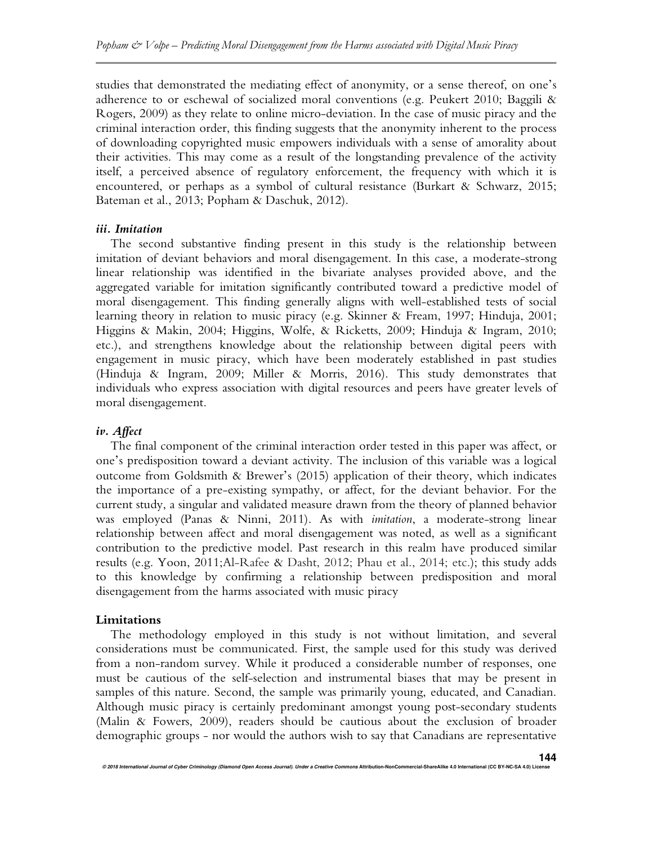studies that demonstrated the mediating effect of anonymity, or a sense thereof, on one's adherence to or eschewal of socialized moral conventions (e.g. Peukert 2010; Baggili & Rogers, 2009) as they relate to online micro-deviation. In the case of music piracy and the criminal interaction order, this finding suggests that the anonymity inherent to the process of downloading copyrighted music empowers individuals with a sense of amorality about their activities. This may come as a result of the longstanding prevalence of the activity itself, a perceived absence of regulatory enforcement, the frequency with which it is encountered, or perhaps as a symbol of cultural resistance (Burkart & Schwarz, 2015; Bateman et al., 2013; Popham & Daschuk, 2012).

# *iii. Imitation*

The second substantive finding present in this study is the relationship between imitation of deviant behaviors and moral disengagement. In this case, a moderate-strong linear relationship was identified in the bivariate analyses provided above, and the aggregated variable for imitation significantly contributed toward a predictive model of moral disengagement. This finding generally aligns with well-established tests of social learning theory in relation to music piracy (e.g. Skinner & Fream, 1997; Hinduja, 2001; Higgins & Makin, 2004; Higgins, Wolfe, & Ricketts, 2009; Hinduja & Ingram, 2010; etc.), and strengthens knowledge about the relationship between digital peers with engagement in music piracy, which have been moderately established in past studies (Hinduja & Ingram, 2009; Miller & Morris, 2016). This study demonstrates that individuals who express association with digital resources and peers have greater levels of moral disengagement.

# *iv. Affect*

The final component of the criminal interaction order tested in this paper was affect, or one's predisposition toward a deviant activity. The inclusion of this variable was a logical outcome from Goldsmith & Brewer's (2015) application of their theory, which indicates the importance of a pre-existing sympathy, or affect, for the deviant behavior. For the current study, a singular and validated measure drawn from the theory of planned behavior was employed (Panas & Ninni, 2011). As with *imitation*, a moderate-strong linear relationship between affect and moral disengagement was noted, as well as a significant contribution to the predictive model. Past research in this realm have produced similar results (e.g. Yoon, 2011;Al-Rafee & Dasht, 2012; Phau et al., 2014; etc.); this study adds to this knowledge by confirming a relationship between predisposition and moral disengagement from the harms associated with music piracy

## **Limitations**

The methodology employed in this study is not without limitation, and several considerations must be communicated. First, the sample used for this study was derived from a non-random survey. While it produced a considerable number of responses, one must be cautious of the self-selection and instrumental biases that may be present in samples of this nature. Second, the sample was primarily young, educated, and Canadian. Although music piracy is certainly predominant amongst young post-secondary students (Malin & Fowers, 2009), readers should be cautious about the exclusion of broader demographic groups - nor would the authors wish to say that Canadians are representative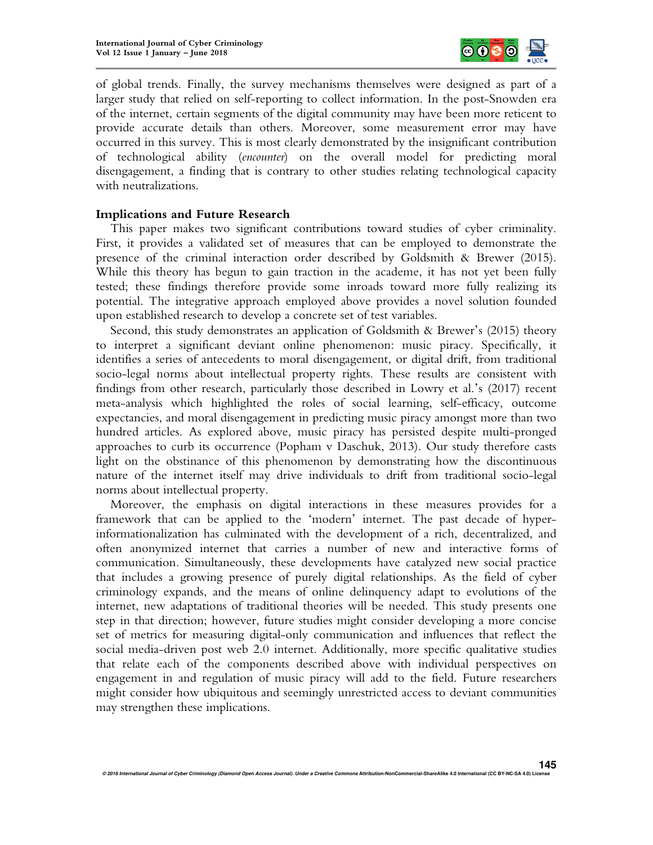

of global trends. Finally, the survey mechanisms themselves were designed as part of a larger study that relied on self-reporting to collect information. In the post-Snowden era of the internet, certain segments of the digital community may have been more reticent to provide accurate details than others. Moreover, some measurement error may have occurred in this survey. This is most clearly demonstrated by the insignificant contribution of technological ability (*encounter*) on the overall model for predicting moral disengagement, a finding that is contrary to other studies relating technological capacity with neutralizations.

## **Implications and Future Research**

This paper makes two significant contributions toward studies of cyber criminality. First, it provides a validated set of measures that can be employed to demonstrate the presence of the criminal interaction order described by Goldsmith & Brewer (2015). While this theory has begun to gain traction in the academe, it has not yet been fully tested; these findings therefore provide some inroads toward more fully realizing its potential. The integrative approach employed above provides a novel solution founded upon established research to develop a concrete set of test variables.

Second, this study demonstrates an application of Goldsmith & Brewer's (2015) theory to interpret a significant deviant online phenomenon: music piracy. Specifically, it identifies a series of antecedents to moral disengagement, or digital drift, from traditional socio-legal norms about intellectual property rights. These results are consistent with findings from other research, particularly those described in Lowry et al.'s (2017) recent meta-analysis which highlighted the roles of social learning, self-efficacy, outcome expectancies, and moral disengagement in predicting music piracy amongst more than two hundred articles. As explored above, music piracy has persisted despite multi-pronged approaches to curb its occurrence (Popham v Daschuk, 2013). Our study therefore casts light on the obstinance of this phenomenon by demonstrating how the discontinuous nature of the internet itself may drive individuals to drift from traditional socio-legal norms about intellectual property.

Moreover, the emphasis on digital interactions in these measures provides for a framework that can be applied to the 'modern' internet. The past decade of hyperinformationalization has culminated with the development of a rich, decentralized, and often anonymized internet that carries a number of new and interactive forms of communication. Simultaneously, these developments have catalyzed new social practice that includes a growing presence of purely digital relationships. As the field of cyber criminology expands, and the means of online delinquency adapt to evolutions of the internet, new adaptations of traditional theories will be needed. This study presents one step in that direction; however, future studies might consider developing a more concise set of metrics for measuring digital-only communication and influences that reflect the social media-driven post web 2.0 internet. Additionally, more specific qualitative studies that relate each of the components described above with individual perspectives on engagement in and regulation of music piracy will add to the field. Future researchers might consider how ubiquitous and seemingly unrestricted access to deviant communities may strengthen these implications.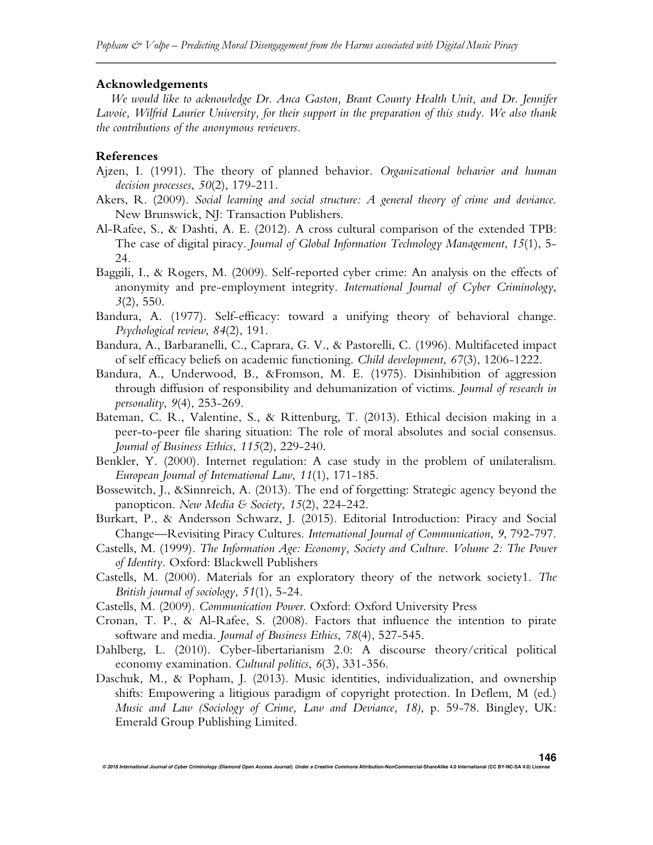#### **Acknowledgements**

*We would like to acknowledge Dr. Anca Gaston, Brant County Health Unit, and Dr. Jennifer Lavoie, Wilfrid Laurier University, for their support in the preparation of this study. We also thank the contributions of the anonymous reviewers.* 

#### **References**

- Ajzen, I. (1991). The theory of planned behavior. *Organizational behavior and human decision processes*, *50*(2), 179-211.
- Akers, R. (2009). *Social learning and social structure: A general theory of crime and deviance*. New Brunswick, NJ: Transaction Publishers.
- Al-Rafee, S., & Dashti, A. E. (2012). A cross cultural comparison of the extended TPB: The case of digital piracy. *Journal of Global Information Technology Management*, *15*(1), 5- 24.
- Baggili, I., & Rogers, M. (2009). Self-reported cyber crime: An analysis on the effects of anonymity and pre-employment integrity. *International Journal of Cyber Criminology*, *3*(2), 550.
- Bandura, A. (1977). Self-efficacy: toward a unifying theory of behavioral change. *Psychological review*, *84*(2), 191.
- Bandura, A., Barbaranelli, C., Caprara, G. V., & Pastorelli, C. (1996). Multifaceted impact of self efficacy beliefs on academic functioning. *Child development*, *67*(3), 1206-1222.
- Bandura, A., Underwood, B., &Fromson, M. E. (1975). Disinhibition of aggression through diffusion of responsibility and dehumanization of victims. *Journal of research in personality*, *9*(4), 253-269.
- Bateman, C. R., Valentine, S., & Rittenburg, T. (2013). Ethical decision making in a peer-to-peer file sharing situation: The role of moral absolutes and social consensus. *Journal of Business Ethics*, *115*(2), 229-240.
- Benkler, Y. (2000). Internet regulation: A case study in the problem of unilateralism. *European Journal of International Law*, *11*(1), 171-185.
- Bossewitch, J., &Sinnreich, A. (2013). The end of forgetting: Strategic agency beyond the panopticon. *New Media & Society*, *15*(2), 224-242.
- Burkart, P., & Andersson Schwarz, J. (2015). Editorial Introduction: Piracy and Social Change—Revisiting Piracy Cultures. *International Journal of Communication*, *9*, 792-797.
- Castells, M. (1999). *The Information Age: Economy, Society and Culture. Volume 2: The Power of Identity.* Oxford: Blackwell Publishers
- Castells, M. (2000). Materials for an exploratory theory of the network society1. *The British journal of sociology*, *51*(1), 5-24.
- Castells, M. (2009). *Communication Power*. Oxford: Oxford University Press
- Cronan, T. P., & Al-Rafee, S. (2008). Factors that influence the intention to pirate software and media. *Journal of Business Ethics*, *78*(4), 527-545.
- Dahlberg, L. (2010). Cyber-libertarianism 2.0: A discourse theory/critical political economy examination. *Cultural politics*, *6*(3), 331-356.
- Daschuk, M., & Popham, J. (2013). Music identities, individualization, and ownership shifts: Empowering a litigious paradigm of copyright protection. In Deflem, M (ed.) *Music and Law (Sociology of Crime, Law and Deviance, 18)*, p. 59-78. Bingley, UK: Emerald Group Publishing Limited.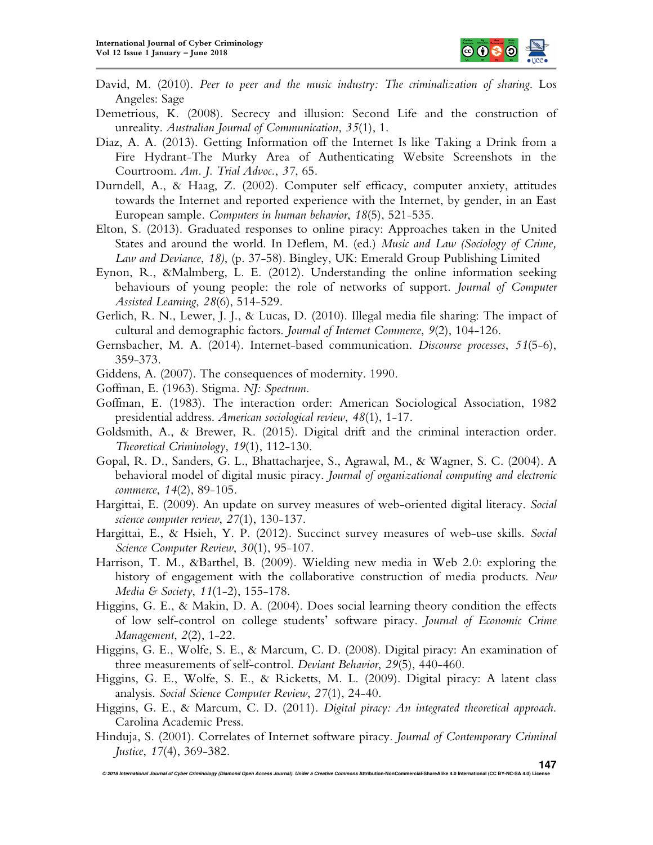

- David, M. (2010). *Peer to peer and the music industry: The criminalization of sharing*. Los Angeles: Sage
- Demetrious, K. (2008). Secrecy and illusion: Second Life and the construction of unreality. *Australian Journal of Communication*, *35*(1), 1.
- Diaz, A. A. (2013). Getting Information off the Internet Is like Taking a Drink from a Fire Hydrant-The Murky Area of Authenticating Website Screenshots in the Courtroom. *Am. J. Trial Advoc.*, *37*, 65.
- Durndell, A., & Haag, Z. (2002). Computer self efficacy, computer anxiety, attitudes towards the Internet and reported experience with the Internet, by gender, in an East European sample. *Computers in human behavior*, *18*(5), 521-535.
- Elton, S. (2013). Graduated responses to online piracy: Approaches taken in the United States and around the world. In Deflem, M. (ed.) *Music and Law (Sociology of Crime, Law and Deviance*, *18)*, (p. 37-58). Bingley, UK: Emerald Group Publishing Limited
- Eynon, R., &Malmberg, L. E. (2012). Understanding the online information seeking behaviours of young people: the role of networks of support. *Journal of Computer Assisted Learning*, *28*(6), 514-529.
- Gerlich, R. N., Lewer, J. J., & Lucas, D. (2010). Illegal media file sharing: The impact of cultural and demographic factors. *Journal of Internet Commerce*, *9*(2), 104-126.
- Gernsbacher, M. A. (2014). Internet-based communication. *Discourse processes*, *51*(5-6), 359-373.
- Giddens, A. (2007). The consequences of modernity. 1990.
- Goffman, E. (1963). Stigma. *NJ: Spectrum*.
- Goffman, E. (1983). The interaction order: American Sociological Association, 1982 presidential address. *American sociological review*, *48*(1), 1-17.
- Goldsmith, A., & Brewer, R. (2015). Digital drift and the criminal interaction order. *Theoretical Criminology*, *19*(1), 112-130.
- Gopal, R. D., Sanders, G. L., Bhattacharjee, S., Agrawal, M., & Wagner, S. C. (2004). A behavioral model of digital music piracy. *Journal of organizational computing and electronic commerce*, *14*(2), 89-105.
- Hargittai, E. (2009). An update on survey measures of web-oriented digital literacy. *Social science computer review*, *27*(1), 130-137.
- Hargittai, E., & Hsieh, Y. P. (2012). Succinct survey measures of web-use skills. *Social Science Computer Review*, *30*(1), 95-107.
- Harrison, T. M., &Barthel, B. (2009). Wielding new media in Web 2.0: exploring the history of engagement with the collaborative construction of media products. *New Media & Society*, *11*(1-2), 155-178.
- Higgins, G. E., & Makin, D. A. (2004). Does social learning theory condition the effects of low self-control on college students' software piracy. *Journal of Economic Crime Management*, *2*(2), 1-22.
- Higgins, G. E., Wolfe, S. E., & Marcum, C. D. (2008). Digital piracy: An examination of three measurements of self-control. *Deviant Behavior*, *29*(5), 440-460.
- Higgins, G. E., Wolfe, S. E., & Ricketts, M. L. (2009). Digital piracy: A latent class analysis. *Social Science Computer Review*, *27*(1), 24-40.
- Higgins, G. E., & Marcum, C. D. (2011). *Digital piracy: An integrated theoretical approach*. Carolina Academic Press.
- Hinduja, S. (2001). Correlates of Internet software piracy. *Journal of Contemporary Criminal Justice*, *17*(4), 369-382.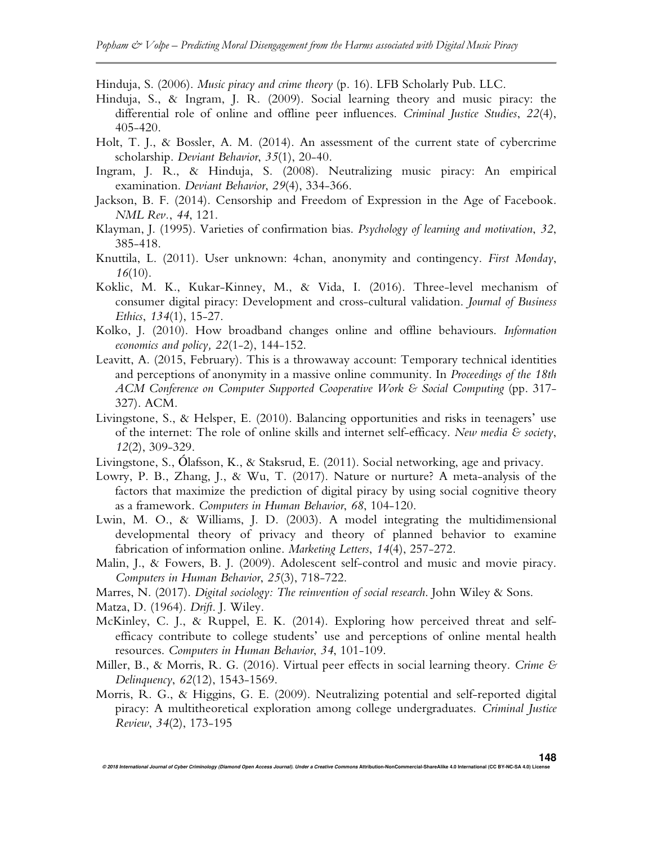Hinduja, S. (2006). *Music piracy and crime theory* (p. 16). LFB Scholarly Pub. LLC.

- Hinduja, S., & Ingram, J. R. (2009). Social learning theory and music piracy: the differential role of online and offline peer influences. *Criminal Justice Studies*, *22*(4), 405-420.
- Holt, T. J., & Bossler, A. M. (2014). An assessment of the current state of cybercrime scholarship. *Deviant Behavior*, *35*(1), 20-40.
- Ingram, J. R., & Hinduja, S. (2008). Neutralizing music piracy: An empirical examination. *Deviant Behavior*, *29*(4), 334-366.
- Jackson, B. F. (2014). Censorship and Freedom of Expression in the Age of Facebook. *NML Rev.*, *44*, 121.
- Klayman, J. (1995). Varieties of confirmation bias. *Psychology of learning and motivation*, *32*, 385-418.
- Knuttila, L. (2011). User unknown: 4chan, anonymity and contingency. *First Monday*, *16*(10).
- Koklic, M. K., Kukar-Kinney, M., & Vida, I. (2016). Three-level mechanism of consumer digital piracy: Development and cross-cultural validation. *Journal of Business Ethics*, *134*(1), 15-27.
- Kolko, J. (2010). How broadband changes online and offline behaviours. *Information economics and policy, 22*(1-2), 144-152.
- Leavitt, A. (2015, February). This is a throwaway account: Temporary technical identities and perceptions of anonymity in a massive online community. In *Proceedings of the 18th ACM Conference on Computer Supported Cooperative Work & Social Computing* (pp. 317- 327). ACM.
- Livingstone, S., & Helsper, E. (2010). Balancing opportunities and risks in teenagers' use of the internet: The role of online skills and internet self-efficacy. *New media & society*, *12*(2), 309-329.
- Livingstone, S., Ólafsson, K., & Staksrud, E. (2011). Social networking, age and privacy.
- Lowry, P. B., Zhang, J., & Wu, T. (2017). Nature or nurture? A meta-analysis of the factors that maximize the prediction of digital piracy by using social cognitive theory as a framework. *Computers in Human Behavior*, *68*, 104-120.
- Lwin, M. O., & Williams, J. D. (2003). A model integrating the multidimensional developmental theory of privacy and theory of planned behavior to examine fabrication of information online. *Marketing Letters*, *14*(4), 257-272.
- Malin, J., & Fowers, B. J. (2009). Adolescent self-control and music and movie piracy. *Computers in Human Behavior*, *25*(3), 718-722.

Marres, N. (2017). *Digital sociology: The reinvention of social research*. John Wiley & Sons.

- Matza, D. (1964). *Drift*. J. Wiley.
- McKinley, C. J., & Ruppel, E. K. (2014). Exploring how perceived threat and selfefficacy contribute to college students' use and perceptions of online mental health resources. *Computers in Human Behavior*, *34*, 101-109.
- Miller, B., & Morris, R. G. (2016). Virtual peer effects in social learning theory. *Crime & Delinquency*, *62*(12), 1543-1569.
- Morris, R. G., & Higgins, G. E. (2009). Neutralizing potential and self-reported digital piracy: A multitheoretical exploration among college undergraduates. *Criminal Justice Review*, *34*(2), 173-195

**© 2018 International Journal of Cyber Criminology (Diamond Open Access Journal). Under a Creative Commons Attribution-NonCommercial-ShareAlike 4.0 International (CC BY-NC-SA 4.0) License 148**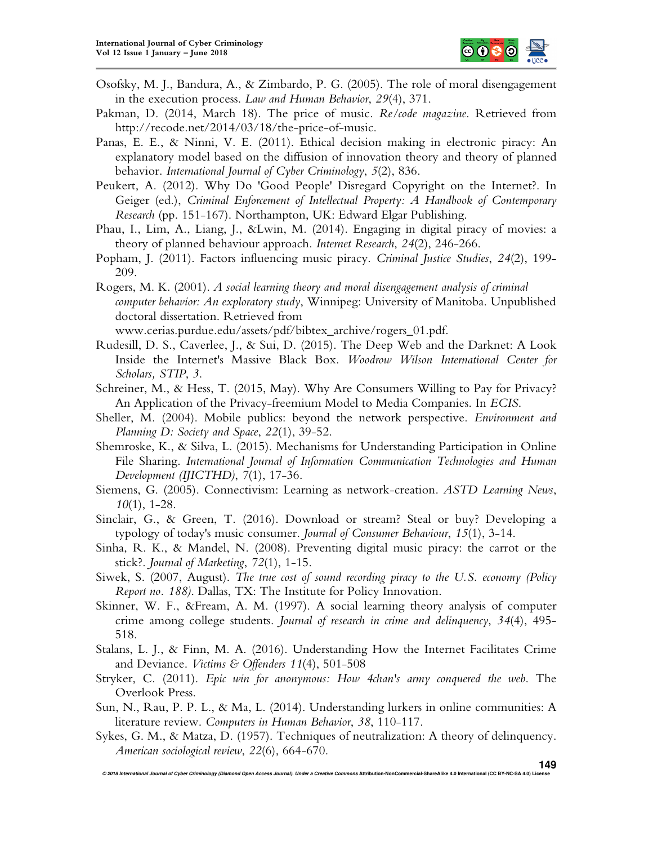

- Osofsky, M. J., Bandura, A., & Zimbardo, P. G. (2005). The role of moral disengagement in the execution process. *Law and Human Behavior*, *29*(4), 371.
- Pakman, D. (2014, March 18). The price of music. *Re/code magazine*. Retrieved from http://recode.net/2014/03/18/the-price-of-music.
- Panas, E. E., & Ninni, V. E. (2011). Ethical decision making in electronic piracy: An explanatory model based on the diffusion of innovation theory and theory of planned behavior. *International Journal of Cyber Criminology*, *5*(2), 836.
- Peukert, A. (2012). Why Do 'Good People' Disregard Copyright on the Internet?. In Geiger (ed.), *Criminal Enforcement of Intellectual Property: A Handbook of Contemporary Research* (pp. 151-167). Northampton, UK: Edward Elgar Publishing.
- Phau, I., Lim, A., Liang, J., &Lwin, M. (2014). Engaging in digital piracy of movies: a theory of planned behaviour approach. *Internet Research*, *24*(2), 246-266.
- Popham, J. (2011). Factors influencing music piracy. *Criminal Justice Studies*, *24*(2), 199- 209.
- Rogers, M. K. (2001). *A social learning theory and moral disengagement analysis of criminal computer behavior: An exploratory study*, Winnipeg: University of Manitoba. Unpublished doctoral dissertation. Retrieved from

www.cerias.purdue.edu/assets/pdf/bibtex\_archive/rogers\_01.pdf.

- Rudesill, D. S., Caverlee, J., & Sui, D. (2015). The Deep Web and the Darknet: A Look Inside the Internet's Massive Black Box. *Woodrow Wilson International Center for Scholars, STIP*, *3*.
- Schreiner, M., & Hess, T. (2015, May). Why Are Consumers Willing to Pay for Privacy? An Application of the Privacy-freemium Model to Media Companies. In *ECIS*.
- Sheller, M. (2004). Mobile publics: beyond the network perspective. *Environment and Planning D: Society and Space*, *22*(1), 39-52.
- Shemroske, K., & Silva, L. (2015). Mechanisms for Understanding Participation in Online File Sharing. *International Journal of Information Communication Technologies and Human Development (IJICTHD)*, *7*(1), 17-36.
- Siemens, G. (2005). Connectivism: Learning as network-creation. *ASTD Learning News*, *10*(1), 1-28.
- Sinclair, G., & Green, T. (2016). Download or stream? Steal or buy? Developing a typology of today's music consumer. *Journal of Consumer Behaviour*, *15*(1), 3-14.
- Sinha, R. K., & Mandel, N. (2008). Preventing digital music piracy: the carrot or the stick?. *Journal of Marketing*, *72*(1), 1-15.
- Siwek, S. (2007, August). *The true cost of sound recording piracy to the U.S. economy (Policy Report no. 188)*. Dallas, TX: The Institute for Policy Innovation.
- Skinner, W. F., &Fream, A. M. (1997). A social learning theory analysis of computer crime among college students. *Journal of research in crime and delinquency*, *34*(4), 495- 518.
- Stalans, L. J., & Finn, M. A. (2016). Understanding How the Internet Facilitates Crime and Deviance. *Victims & Offenders 11*(4), 501-508
- Stryker, C. (2011). *Epic win for anonymous: How 4chan's army conquered the web*. The Overlook Press.
- Sun, N., Rau, P. P. L., & Ma, L. (2014). Understanding lurkers in online communities: A literature review. *Computers in Human Behavior*, *38*, 110-117.
- Sykes, G. M., & Matza, D. (1957). Techniques of neutralization: A theory of delinquency. *American sociological review*, *22*(6), 664-670.